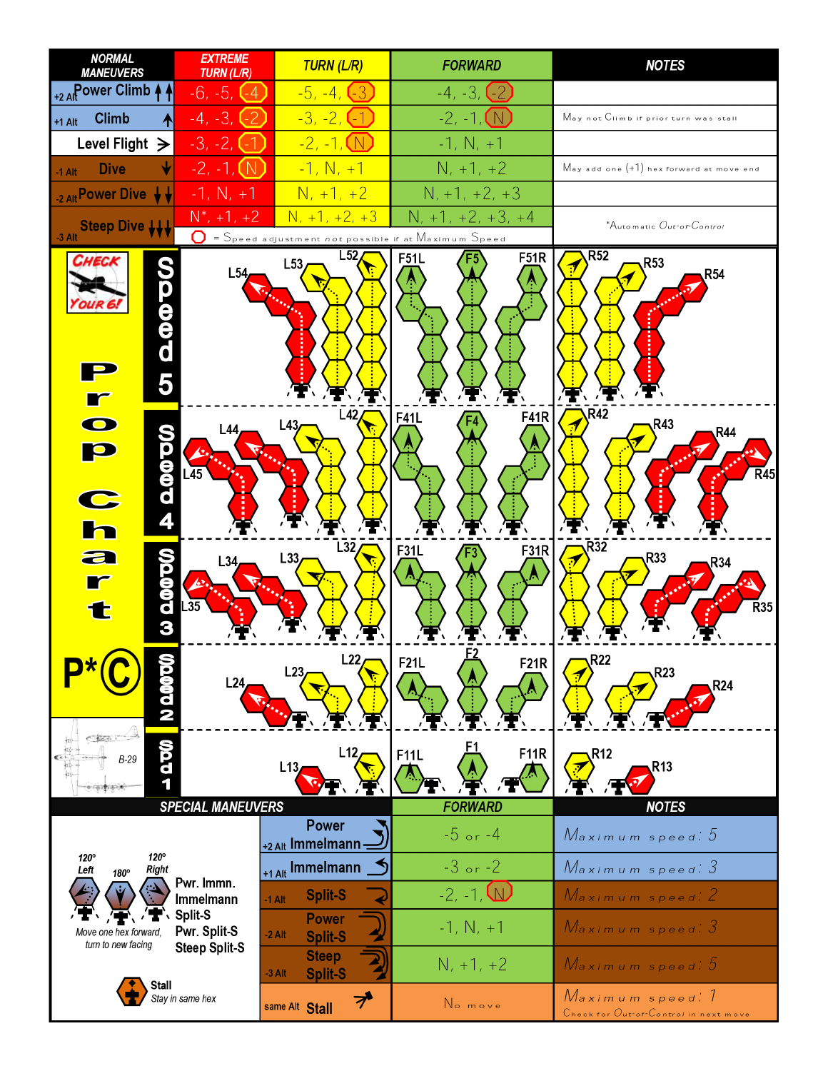